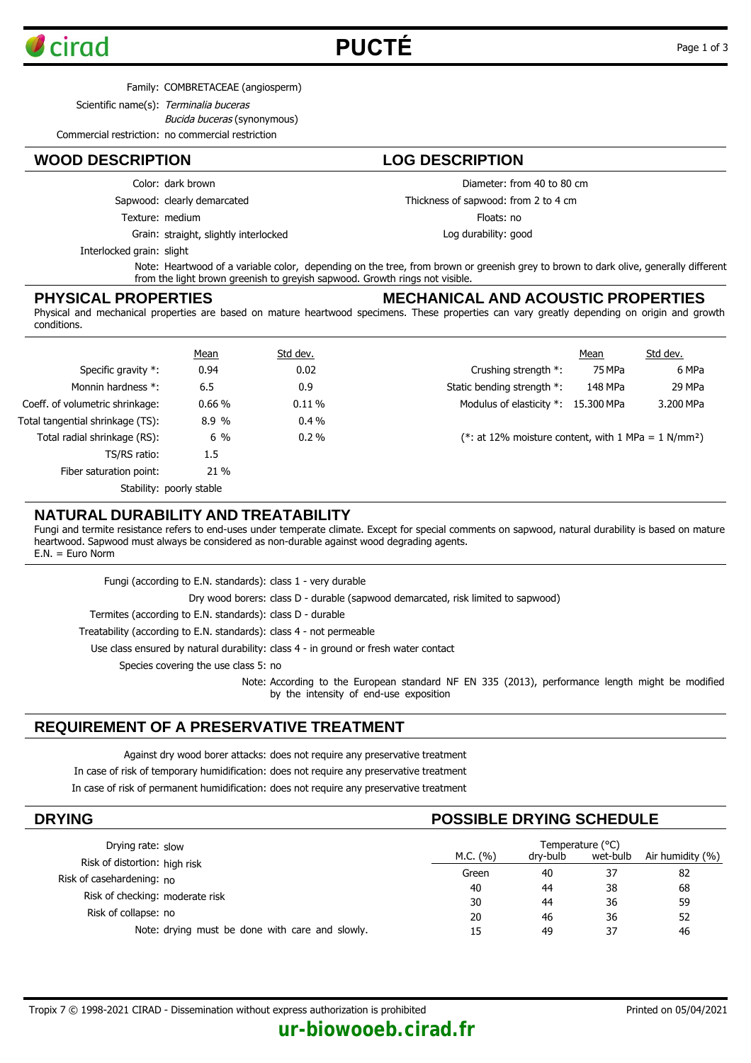

# **PUCTÉ** Page 1 of 3

Family: COMBRETACEAE (angiosperm)

Scientific name(s): Terminalia buceras

Bucida buceras (synonymous)

Commercial restriction: no commercial restriction

### **WOOD DESCRIPTION LOG DESCRIPTION**

Color: dark brown

Sapwood: clearly demarcated

Texture: medium

Grain: straight, slightly interlocked

Diameter: from 40 to 80 cm

Thickness of sapwood: from 2 to 4 cm

Floats: no

Log durability: good

Interlocked grain: slight

Note: Heartwood of a variable color, depending on the tree, from brown or greenish grey to brown to dark olive, generally different from the light brown greenish to greyish sapwood. Growth rings not visible.

#### **PHYSICAL PROPERTIES**

#### **MECHANICAL AND ACOUSTIC PROPERTIES**

Physical and mechanical properties are based on mature heartwood specimens. These properties can vary greatly depending on origin and growth conditions.

|                                  | Mean   | Std dev. |                                                                 | Mean    | Std dev.  |
|----------------------------------|--------|----------|-----------------------------------------------------------------|---------|-----------|
| Specific gravity $*$ :           | 0.94   | 0.02     | Crushing strength *:                                            | 75 MPa  | 6 MPa     |
| Monnin hardness *:               | 6.5    | 0.9      | Static bending strength *:                                      | 148 MPa | 29 MPa    |
| Coeff. of volumetric shrinkage:  | 0.66%  | 0.11%    | Modulus of elasticity *: 15.300 MPa                             |         | 3.200 MPa |
| Total tangential shrinkage (TS): | 8.9 %  | $0.4\%$  |                                                                 |         |           |
| Total radial shrinkage (RS):     | $6\%$  | $0.2\%$  | (*: at 12% moisture content, with 1 MPa = 1 N/mm <sup>2</sup> ) |         |           |
| TS/RS ratio:                     | 1.5    |          |                                                                 |         |           |
| Fiber saturation point:          | $21\%$ |          |                                                                 |         |           |
| Stability: poorly stable         |        |          |                                                                 |         |           |

#### **NATURAL DURABILITY AND TREATABILITY**

Fungi and termite resistance refers to end-uses under temperate climate. Except for special comments on sapwood, natural durability is based on mature heartwood. Sapwood must always be considered as non-durable against wood degrading agents. E.N. = Euro Norm

| Fungi (according to E.N. standards): class 1 - very durable                                                                               |
|-------------------------------------------------------------------------------------------------------------------------------------------|
| Dry wood borers: class D - durable (sapwood demarcated, risk limited to sapwood)                                                          |
| Termites (according to E.N. standards): class D - durable                                                                                 |
| Treatability (according to E.N. standards): class 4 - not permeable                                                                       |
| Use class ensured by natural durability: class 4 - in ground or fresh water contact                                                       |
| Species covering the use class 5: no                                                                                                      |
| Note: According to the European standard NF EN 335 (2013), performance length might be modified<br>by the intensity of end-use exposition |

### **REQUIREMENT OF A PRESERVATIVE TREATMENT**

Against dry wood borer attacks: does not require any preservative treatment

In case of risk of temporary humidification: does not require any preservative treatment

In case of risk of permanent humidification: does not require any preservative treatment

| <b>DRYING</b>                                   | <b>POSSIBLE DRYING SCHEDULE</b> |          |          |                  |  |
|-------------------------------------------------|---------------------------------|----------|----------|------------------|--|
| Drying rate: slow                               | Temperature (°C)                |          |          |                  |  |
| Risk of distortion: high risk                   | M.C. (%)                        | dry-bulb | wet-bulb | Air humidity (%) |  |
|                                                 | Green                           | 40       | 37       | 82               |  |
| Risk of casehardening: no                       | 40                              | 44       | 38       | 68               |  |
| Risk of checking: moderate risk                 | 30                              | 44       | 36       | 59               |  |
| Risk of collapse: no                            | 20                              | 46       | 36       | 52               |  |
| Note: drying must be done with care and slowly. | 15                              | 49       | 37       | 46               |  |